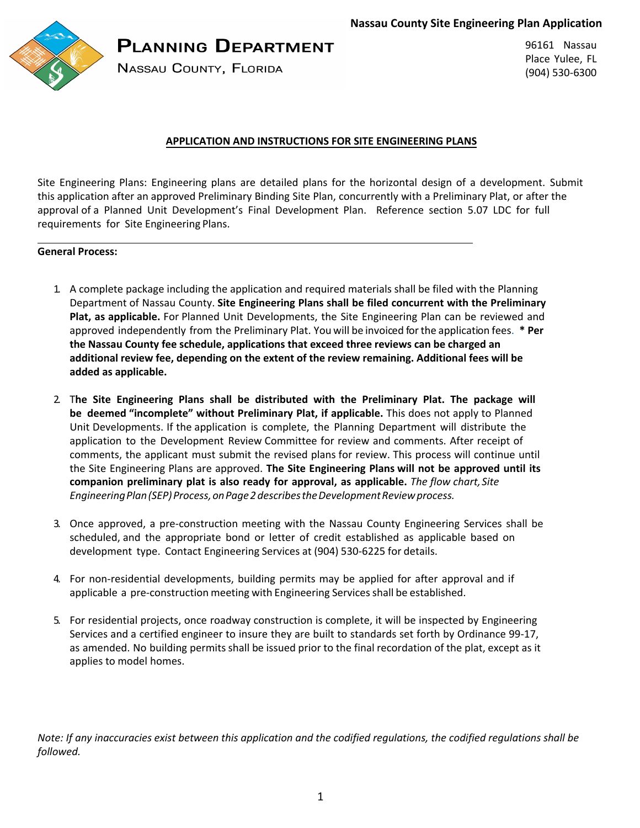**Nassau County Site Engineering Plan Application**



# **PLANNING DEPARTMENT**

**NASSAU COUNTY, FLORIDA** 

96161 Nassau Place Yulee, FL (904) 530-6300

### **APPLICATION AND INSTRUCTIONS FOR SITE ENGINEERING PLANS**

Site Engineering Plans: Engineering plans are detailed plans for the horizontal design of a development. Submit this application after an approved Preliminary Binding Site Plan, concurrently with a Preliminary Plat, or after the approval of a Planned Unit Development's Final Development Plan. Reference section 5.07 LDC for full requirements for Site Engineering Plans.

#### **General Process:**

- 1. A complete package including the application and required materials shall be filed with the Planning Department of Nassau County. **Site Engineering Plans shall be filed concurrent with the Preliminary Plat, as applicable.** For Planned Unit Developments, the Site Engineering Plan can be reviewed and approved independently from the Preliminary Plat. You will be invoiced for the application fees. **\* Per the Nassau County fee schedule, applications that exceed three reviews can be charged an additional review fee, depending on the extent of the review remaining. Additional fees will be added as applicable.**
- 2. T**he Site Engineering Plans shall be distributed with the Preliminary Plat. The package will be deemed "incomplete" without Preliminary Plat, if applicable.** This does not apply to Planned Unit Developments. If the application is complete, the Planning Department will distribute the application to the Development Review Committee for review and comments. After receipt of comments, the applicant must submit the revised plans for review. This process will continue until the Site Engineering Plans are approved. **The Site Engineering Plans will not be approved until its companion preliminary plat is also ready for approval, as applicable.** *The flow chart, Site Engineering Plan (SEP) Process, onPage 2 describes the Development Review process.*
- 3. Once approved, a pre-construction meeting with the Nassau County Engineering Services shall be scheduled, and the appropriate bond or letter of credit established as applicable based on development type. Contact Engineering Services at (904) 530-6225 for details.
- 4. For non-residential developments, building permits may be applied for after approval and if applicable a pre-construction meeting with Engineering Services shall be established.
- 5. For residential projects, once roadway construction is complete, it will be inspected by Engineering Services and a certified engineer to insure they are built to standards set forth by Ordinance 99-17, as amended. No building permits shall be issued prior to the final recordation of the plat, except as it applies to model homes.

*Note: If any inaccuracies exist between this application and the codified regulations, the codified regulations shall be followed.*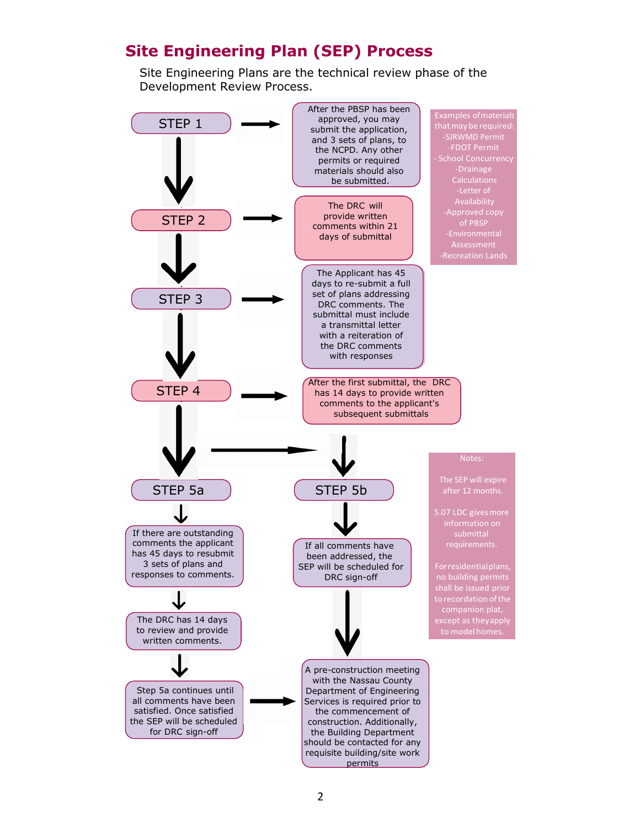# **Site Engineering Plan (SEP) Process**

Site Engineering Plans are the technical review phase of the Development Review Process.

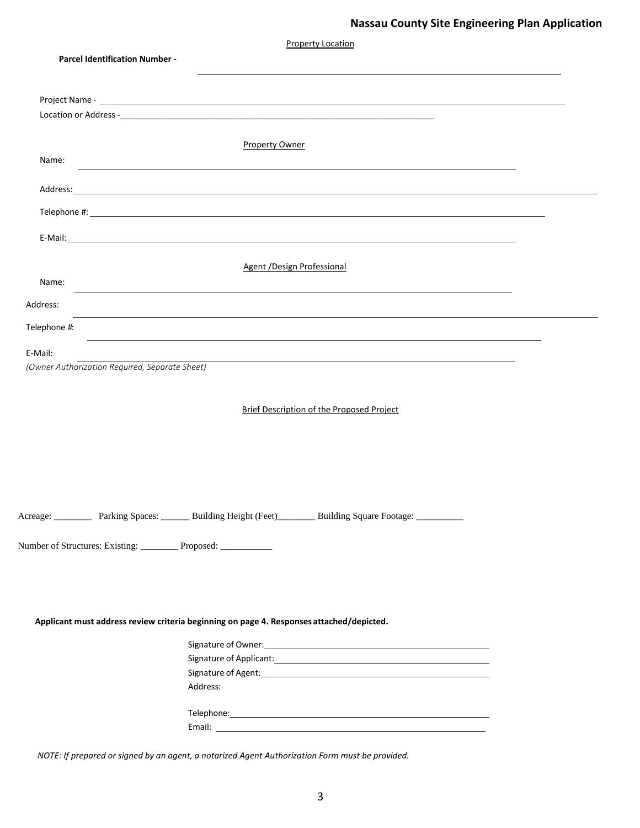| <b>Property Location</b>                                          |                                                                                                                                                                                                                                                                                                                                              |  |  |  |
|-------------------------------------------------------------------|----------------------------------------------------------------------------------------------------------------------------------------------------------------------------------------------------------------------------------------------------------------------------------------------------------------------------------------------|--|--|--|
| <b>Parcel Identification Number -</b>                             |                                                                                                                                                                                                                                                                                                                                              |  |  |  |
|                                                                   |                                                                                                                                                                                                                                                                                                                                              |  |  |  |
|                                                                   |                                                                                                                                                                                                                                                                                                                                              |  |  |  |
|                                                                   |                                                                                                                                                                                                                                                                                                                                              |  |  |  |
|                                                                   |                                                                                                                                                                                                                                                                                                                                              |  |  |  |
|                                                                   | <b>Property Owner</b>                                                                                                                                                                                                                                                                                                                        |  |  |  |
| Name:                                                             | <u> 1989 - Johann Johann Stoff, deutscher Stoffen und der Stoffen und der Stoffen und der Stoffen und der Stoffen</u>                                                                                                                                                                                                                        |  |  |  |
|                                                                   |                                                                                                                                                                                                                                                                                                                                              |  |  |  |
|                                                                   |                                                                                                                                                                                                                                                                                                                                              |  |  |  |
|                                                                   | Telephone #: $\qquad \qquad$ $\qquad \qquad$ $\qquad$ $\qquad$ $\qquad$ $\qquad$ $\qquad$ $\qquad$ $\qquad$ $\qquad$ $\qquad$ $\qquad$ $\qquad$ $\qquad$ $\qquad$ $\qquad$ $\qquad$ $\qquad$ $\qquad$ $\qquad$ $\qquad$ $\qquad$ $\qquad$ $\qquad$ $\qquad$ $\qquad$ $\qquad$ $\qquad$ $\qquad$ $\qquad$ $\qquad$ $\qquad$ $\qquad$ $\qquad$ |  |  |  |
|                                                                   |                                                                                                                                                                                                                                                                                                                                              |  |  |  |
|                                                                   |                                                                                                                                                                                                                                                                                                                                              |  |  |  |
|                                                                   | <b>Agent / Design Professional</b>                                                                                                                                                                                                                                                                                                           |  |  |  |
| Name:                                                             |                                                                                                                                                                                                                                                                                                                                              |  |  |  |
| Address:                                                          | <u> 1989 - Johann Stoff, amerikansk politiker (d. 1989)</u>                                                                                                                                                                                                                                                                                  |  |  |  |
|                                                                   |                                                                                                                                                                                                                                                                                                                                              |  |  |  |
| Telephone #:                                                      | <u> 1989 - John Stoff, amerikansk politiker (* 1989)</u>                                                                                                                                                                                                                                                                                     |  |  |  |
| E-Mail:                                                           |                                                                                                                                                                                                                                                                                                                                              |  |  |  |
| (Owner Authorization Required, Separate Sheet)                    |                                                                                                                                                                                                                                                                                                                                              |  |  |  |
|                                                                   |                                                                                                                                                                                                                                                                                                                                              |  |  |  |
|                                                                   | <b>Brief Description of the Proposed Project</b>                                                                                                                                                                                                                                                                                             |  |  |  |
|                                                                   |                                                                                                                                                                                                                                                                                                                                              |  |  |  |
|                                                                   |                                                                                                                                                                                                                                                                                                                                              |  |  |  |
|                                                                   |                                                                                                                                                                                                                                                                                                                                              |  |  |  |
|                                                                   |                                                                                                                                                                                                                                                                                                                                              |  |  |  |
|                                                                   |                                                                                                                                                                                                                                                                                                                                              |  |  |  |
|                                                                   |                                                                                                                                                                                                                                                                                                                                              |  |  |  |
|                                                                   | Acreage: Parking Spaces: ______ Building Height (Feet) Building Square Footage: _______                                                                                                                                                                                                                                                      |  |  |  |
|                                                                   |                                                                                                                                                                                                                                                                                                                                              |  |  |  |
| Number of Structures: Existing: __________ Proposed: ____________ |                                                                                                                                                                                                                                                                                                                                              |  |  |  |
|                                                                   |                                                                                                                                                                                                                                                                                                                                              |  |  |  |
|                                                                   |                                                                                                                                                                                                                                                                                                                                              |  |  |  |
|                                                                   |                                                                                                                                                                                                                                                                                                                                              |  |  |  |
|                                                                   | Applicant must address review criteria beginning on page 4. Responses attached/depicted.                                                                                                                                                                                                                                                     |  |  |  |
|                                                                   |                                                                                                                                                                                                                                                                                                                                              |  |  |  |
|                                                                   |                                                                                                                                                                                                                                                                                                                                              |  |  |  |
|                                                                   |                                                                                                                                                                                                                                                                                                                                              |  |  |  |
|                                                                   | Address:                                                                                                                                                                                                                                                                                                                                     |  |  |  |
|                                                                   |                                                                                                                                                                                                                                                                                                                                              |  |  |  |
|                                                                   | Telephone: Telephone:                                                                                                                                                                                                                                                                                                                        |  |  |  |
|                                                                   |                                                                                                                                                                                                                                                                                                                                              |  |  |  |

*NOTE: If prepared or signed by an agent, a notarized Agent Authorization Form must be provided.*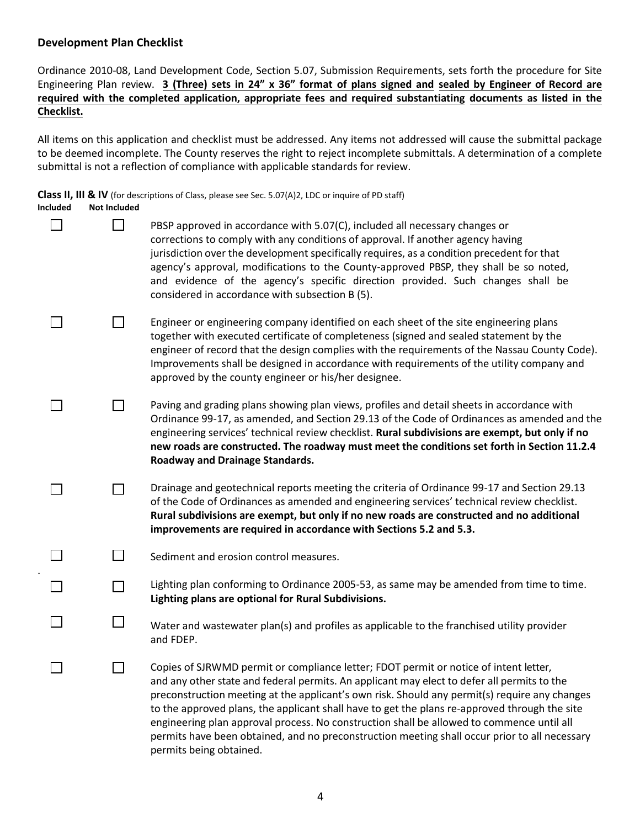### **Development Plan Checklist**

Ordinance 2010-08, Land Development Code, Section 5.07, Submission Requirements, sets forth the procedure for Site Engineering Plan review. 3 (Three) sets in 24" x 36" format of plans signed and sealed by Engineer of Record are **required with the completed application, appropriate fees and required substantiating documents as listed in the Checklist.** 

All items on this application and checklist must be addressed. Any items not addressed will cause the submittal package to be deemed incomplete. The County reserves the right to reject incomplete submittals. A determination of a complete submittal is not a reflection of compliance with applicable standards for review.

**Class II, III & IV** (for descriptions of Class, please see Sec. 5.07(A)2, LDC or inquire of PD staff)

| Included | <b>Not Included</b> |                                                                                                                                                                                                                                                                                                                                                                                                                                                                                                                                                                                                                 |
|----------|---------------------|-----------------------------------------------------------------------------------------------------------------------------------------------------------------------------------------------------------------------------------------------------------------------------------------------------------------------------------------------------------------------------------------------------------------------------------------------------------------------------------------------------------------------------------------------------------------------------------------------------------------|
|          |                     | PBSP approved in accordance with 5.07(C), included all necessary changes or<br>corrections to comply with any conditions of approval. If another agency having<br>jurisdiction over the development specifically requires, as a condition precedent for that<br>agency's approval, modifications to the County-approved PBSP, they shall be so noted,<br>and evidence of the agency's specific direction provided. Such changes shall be<br>considered in accordance with subsection B (5).                                                                                                                     |
|          |                     | Engineer or engineering company identified on each sheet of the site engineering plans<br>together with executed certificate of completeness (signed and sealed statement by the<br>engineer of record that the design complies with the requirements of the Nassau County Code).<br>Improvements shall be designed in accordance with requirements of the utility company and<br>approved by the county engineer or his/her designee.                                                                                                                                                                          |
|          |                     | Paving and grading plans showing plan views, profiles and detail sheets in accordance with<br>Ordinance 99-17, as amended, and Section 29.13 of the Code of Ordinances as amended and the<br>engineering services' technical review checklist. Rural subdivisions are exempt, but only if no<br>new roads are constructed. The roadway must meet the conditions set forth in Section 11.2.4<br>Roadway and Drainage Standards.                                                                                                                                                                                  |
|          |                     | Drainage and geotechnical reports meeting the criteria of Ordinance 99-17 and Section 29.13<br>of the Code of Ordinances as amended and engineering services' technical review checklist.<br>Rural subdivisions are exempt, but only if no new roads are constructed and no additional<br>improvements are required in accordance with Sections 5.2 and 5.3.                                                                                                                                                                                                                                                    |
|          |                     | Sediment and erosion control measures.                                                                                                                                                                                                                                                                                                                                                                                                                                                                                                                                                                          |
|          |                     | Lighting plan conforming to Ordinance 2005-53, as same may be amended from time to time.<br>Lighting plans are optional for Rural Subdivisions.                                                                                                                                                                                                                                                                                                                                                                                                                                                                 |
|          |                     | Water and wastewater plan(s) and profiles as applicable to the franchised utility provider<br>and FDEP.                                                                                                                                                                                                                                                                                                                                                                                                                                                                                                         |
|          |                     | Copies of SJRWMD permit or compliance letter; FDOT permit or notice of intent letter,<br>and any other state and federal permits. An applicant may elect to defer all permits to the<br>preconstruction meeting at the applicant's own risk. Should any permit(s) require any changes<br>to the approved plans, the applicant shall have to get the plans re-approved through the site<br>engineering plan approval process. No construction shall be allowed to commence until all<br>permits have been obtained, and no preconstruction meeting shall occur prior to all necessary<br>permits being obtained. |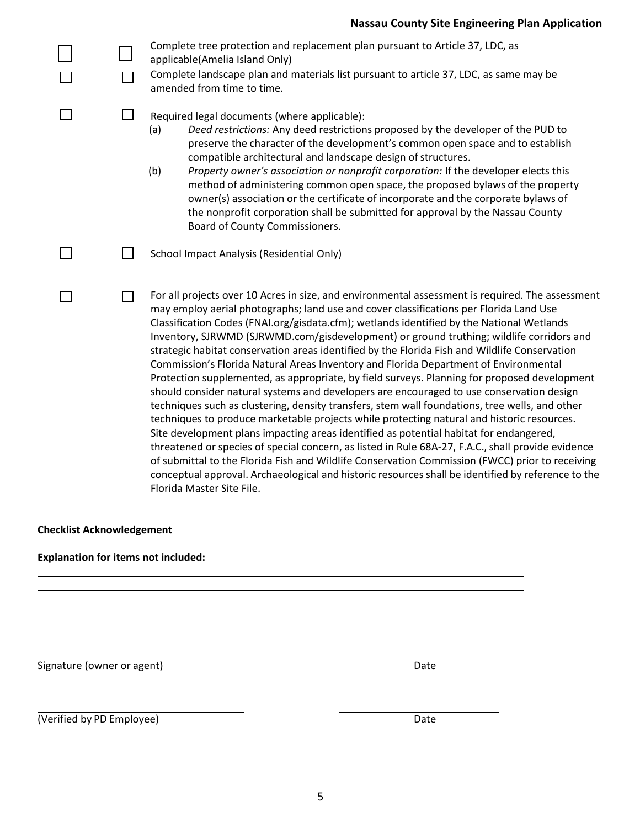|        | Complete tree protection and replacement plan pursuant to Article 37, LDC, as<br>applicable(Amelia Island Only)<br>Complete landscape plan and materials list pursuant to article 37, LDC, as same may be<br>amended from time to time.                                                                                                                                                                                                                                                                                                                                                                                                                                                                                                                                                                                                                                                                                                                                                                                                                                                                                                                                                                                                                                                                                                                                                                        |
|--------|----------------------------------------------------------------------------------------------------------------------------------------------------------------------------------------------------------------------------------------------------------------------------------------------------------------------------------------------------------------------------------------------------------------------------------------------------------------------------------------------------------------------------------------------------------------------------------------------------------------------------------------------------------------------------------------------------------------------------------------------------------------------------------------------------------------------------------------------------------------------------------------------------------------------------------------------------------------------------------------------------------------------------------------------------------------------------------------------------------------------------------------------------------------------------------------------------------------------------------------------------------------------------------------------------------------------------------------------------------------------------------------------------------------|
| ⊔      | Required legal documents (where applicable):<br>Deed restrictions: Any deed restrictions proposed by the developer of the PUD to<br>(a)<br>preserve the character of the development's common open space and to establish<br>compatible architectural and landscape design of structures.<br>(b)<br>Property owner's association or nonprofit corporation: If the developer elects this<br>method of administering common open space, the proposed bylaws of the property<br>owner(s) association or the certificate of incorporate and the corporate bylaws of<br>the nonprofit corporation shall be submitted for approval by the Nassau County<br>Board of County Commissioners.                                                                                                                                                                                                                                                                                                                                                                                                                                                                                                                                                                                                                                                                                                                            |
| $\Box$ | School Impact Analysis (Residential Only)                                                                                                                                                                                                                                                                                                                                                                                                                                                                                                                                                                                                                                                                                                                                                                                                                                                                                                                                                                                                                                                                                                                                                                                                                                                                                                                                                                      |
| ┐      | For all projects over 10 Acres in size, and environmental assessment is required. The assessment<br>may employ aerial photographs; land use and cover classifications per Florida Land Use<br>Classification Codes (FNAI.org/gisdata.cfm); wetlands identified by the National Wetlands<br>Inventory, SJRWMD (SJRWMD.com/gisdevelopment) or ground truthing; wildlife corridors and<br>strategic habitat conservation areas identified by the Florida Fish and Wildlife Conservation<br>Commission's Florida Natural Areas Inventory and Florida Department of Environmental<br>Protection supplemented, as appropriate, by field surveys. Planning for proposed development<br>should consider natural systems and developers are encouraged to use conservation design<br>techniques such as clustering, density transfers, stem wall foundations, tree wells, and other<br>techniques to produce marketable projects while protecting natural and historic resources.<br>Site development plans impacting areas identified as potential habitat for endangered,<br>threatened or species of special concern, as listed in Rule 68A-27, F.A.C., shall provide evidence<br>of submittal to the Florida Fish and Wildlife Conservation Commission (FWCC) prior to receiving<br>conceptual approval. Archaeological and historic resources shall be identified by reference to the<br>Florida Master Site File. |

## **Checklist Acknowledgement**

## **Explanation for items not included:**

Signature (owner or agent) Date

(Verified by PD Employee) Date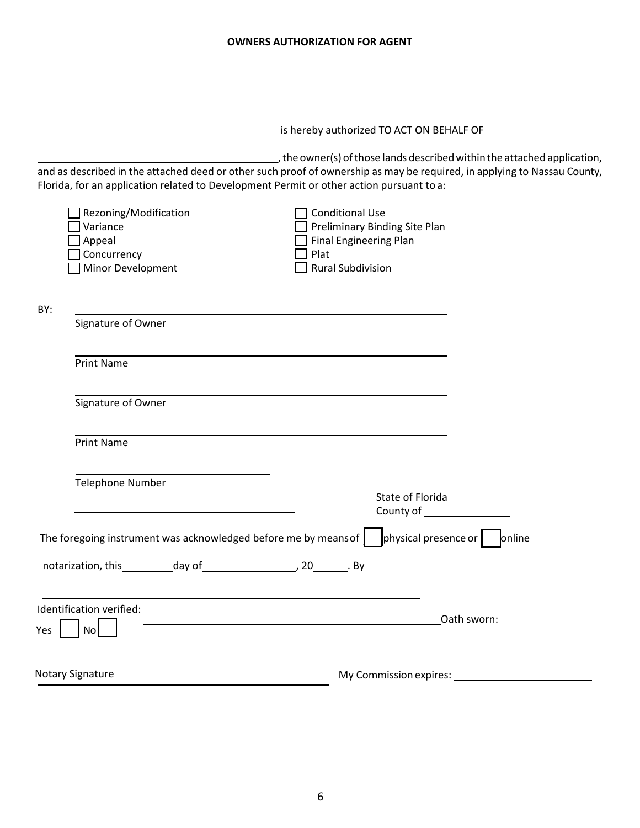#### **OWNERS AUTHORIZATION FOR AGENT**

|     |                                                                                 |                                                                                                             | is hereby authorized TO ACT ON BEHALF OF                       |                                                                                                                                                                                                                               |
|-----|---------------------------------------------------------------------------------|-------------------------------------------------------------------------------------------------------------|----------------------------------------------------------------|-------------------------------------------------------------------------------------------------------------------------------------------------------------------------------------------------------------------------------|
|     |                                                                                 | Florida, for an application related to Development Permit or other action pursuant to a:                    |                                                                | $\overline{\phantom{a}}$ , the owner(s) of those lands described within the attached application,<br>and as described in the attached deed or other such proof of ownership as may be required, in applying to Nassau County, |
|     | Rezoning/Modification<br>Variance<br>Appeal<br>Concurrency<br>Minor Development | <b>Conditional Use</b><br>Plat<br><b>Rural Subdivision</b>                                                  | Preliminary Binding Site Plan<br><b>Final Engineering Plan</b> |                                                                                                                                                                                                                               |
| BY: | Signature of Owner                                                              |                                                                                                             |                                                                |                                                                                                                                                                                                                               |
|     | <b>Print Name</b>                                                               |                                                                                                             |                                                                |                                                                                                                                                                                                                               |
|     | Signature of Owner                                                              |                                                                                                             |                                                                |                                                                                                                                                                                                                               |
|     | <b>Print Name</b>                                                               |                                                                                                             |                                                                |                                                                                                                                                                                                                               |
|     | <b>Telephone Number</b>                                                         |                                                                                                             | State of Florida                                               |                                                                                                                                                                                                                               |
|     |                                                                                 | The foregoing instrument was acknowledged before me by means of $\vert$ physical presence or $\vert$ online |                                                                |                                                                                                                                                                                                                               |
|     |                                                                                 |                                                                                                             |                                                                |                                                                                                                                                                                                                               |
| Yes | Identification verified:<br>No                                                  |                                                                                                             |                                                                | Oath sworn:                                                                                                                                                                                                                   |
|     | <b>Notary Signature</b>                                                         |                                                                                                             | My Commission expires:                                         |                                                                                                                                                                                                                               |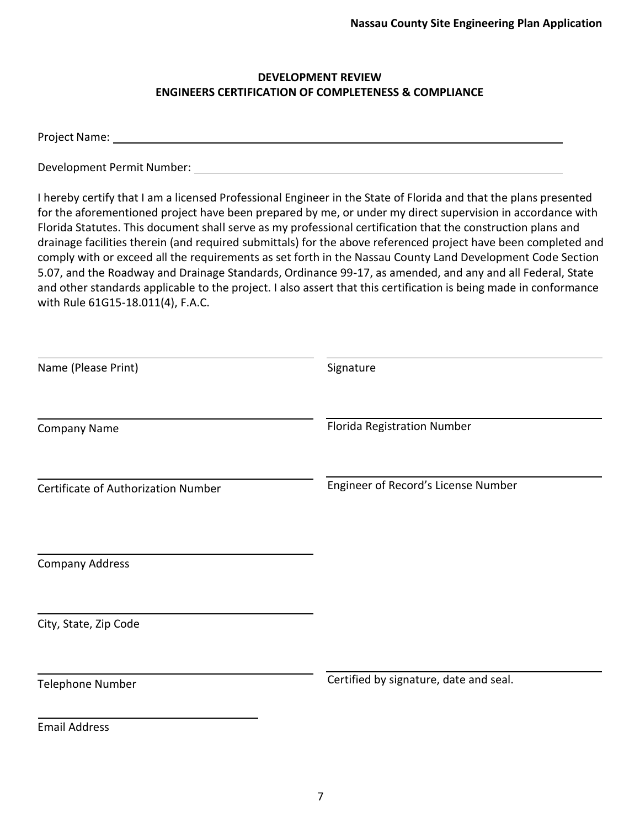## **DEVELOPMENT REVIEW ENGINEERS CERTIFICATION OF COMPLETENESS & COMPLIANCE**

Project Name:

Development Permit Number:

I hereby certify that I am a licensed Professional Engineer in the State of Florida and that the plans presented for the aforementioned project have been prepared by me, or under my direct supervision in accordance with Florida Statutes. This document shall serve as my professional certification that the construction plans and drainage facilities therein (and required submittals) for the above referenced project have been completed and comply with or exceed all the requirements as set forth in the Nassau County Land Development Code Section 5.07, and the Roadway and Drainage Standards, Ordinance 99-17, as amended, and any and all Federal, State and other standards applicable to the project. I also assert that this certification is being made in conformance with Rule 61G15-18.011(4), F.A.C.

| Name (Please Print)                 | Signature                              |
|-------------------------------------|----------------------------------------|
| <b>Company Name</b>                 | Florida Registration Number            |
| Certificate of Authorization Number | Engineer of Record's License Number    |
| <b>Company Address</b>              |                                        |
| City, State, Zip Code               |                                        |
| <b>Telephone Number</b>             | Certified by signature, date and seal. |
| <b>Email Address</b>                |                                        |